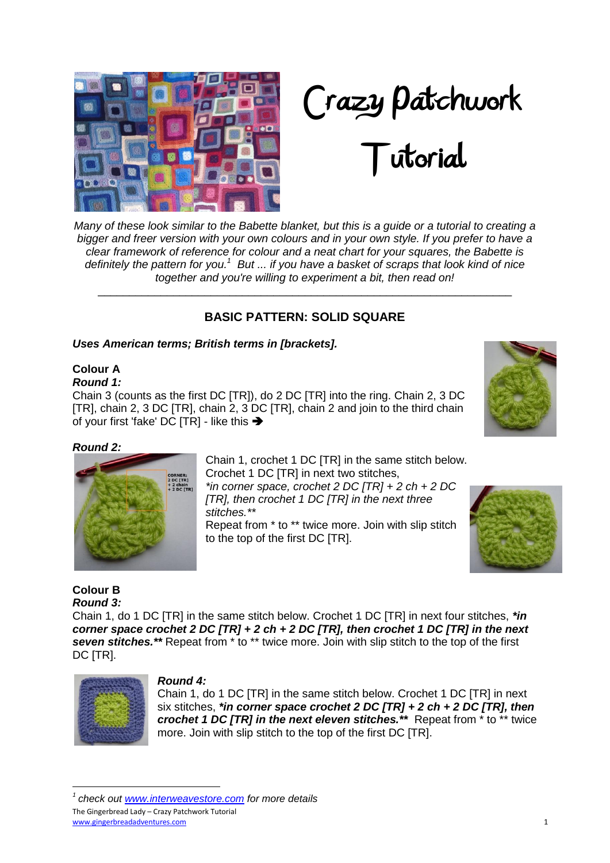



# Tutorial

*Many of these look similar to the Babette blanket, but this is a guide or a tutorial to creating a bigger and freer version with your own colours and in your own style. If you prefer to have a clear framework of reference for colour and a neat chart for your squares, the Babette is*  definitely the pattern for you.<sup>1</sup> But ... if you have a basket of scraps that look kind of nice *together and you're willing to experiment a bit, then read on!*

## **BASIC PATTERN: SOLID SQUARE**

\_\_\_\_\_\_\_\_\_\_\_\_\_\_\_\_\_\_\_\_\_\_\_\_\_\_\_\_\_\_\_\_\_\_\_\_\_\_\_\_\_\_\_\_\_\_\_\_\_\_\_\_\_\_\_\_\_\_\_\_\_\_\_\_\_\_

## *Uses American terms; British terms in [brackets].*

# **Colour A**

*Round 1:*

Chain 3 (counts as the first DC [TR]), do 2 DC [TR] into the ring. Chain 2, 3 DC [TR], chain 2, 3 DC [TR], chain 2, 3 DC [TR], chain 2 and join to the third chain of your first 'fake' DC [TR] - like this  $\rightarrow$ 

## *Round 2:*



Chain 1, crochet 1 DC [TR] in the same stitch below. Crochet 1 DC [TR] in next two stitches, *\*in corner space, crochet 2 DC [TR] + 2 ch + 2 DC [TR], then crochet 1 DC [TR] in the next three stitches.\*\** Repeat from \* to \*\* twice more. Join with slip stitch to the top of the first DC [TR].





#### **Colour B** *Round 3:*

Chain 1, do 1 DC [TR] in the same stitch below. Crochet 1 DC [TR] in next four stitches, *\*in corner space crochet 2 DC [TR] + 2 ch + 2 DC [TR], then crochet 1 DC [TR] in the next seven stitches.\*\** Repeat from \* to \*\* twice more. Join with slip stitch to the top of the first DC [TR].



**.** 

#### *Round 4:*

Chain 1, do 1 DC [TR] in the same stitch below. Crochet 1 DC [TR] in next six stitches, *\*in corner space crochet 2 DC [TR] + 2 ch + 2 DC [TR], then crochet 1 DC [TR] in the next eleven stitches.\*\** Repeat from \* to \*\* twice more. Join with slip stitch to the top of the first DC [TR].

The Gingerbread Lady – Crazy Patchwork Tutorial www.gingerbreadadventures.com 1 *1 check out [www.interweavestore.com](http://www.interweavestore.com/) for more details*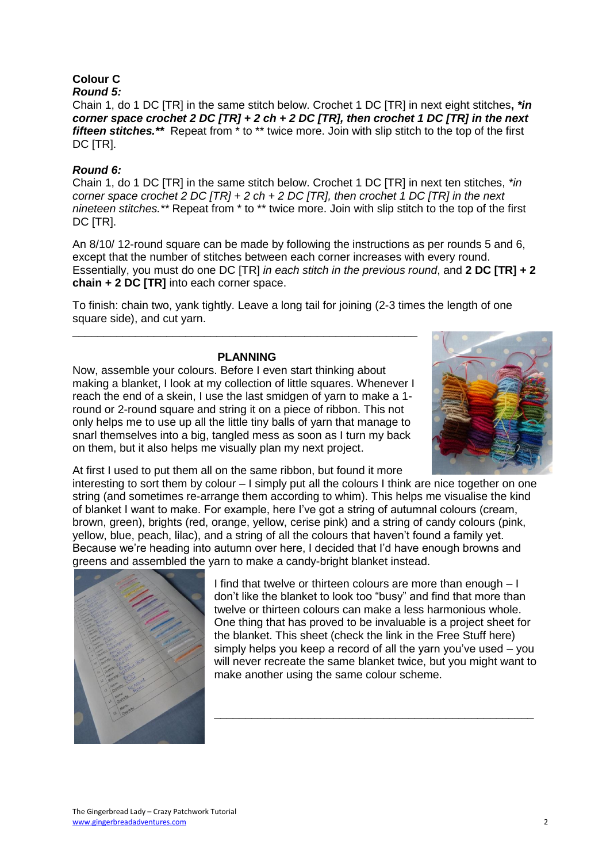## **Colour C**

*Round 5:*

Chain 1, do 1 DC [TR] in the same stitch below. Crochet 1 DC [TR] in next eight stitches**,** *\*in corner space crochet 2 DC [TR] + 2 ch + 2 DC [TR], then crochet 1 DC [TR] in the next fifteen stitches.\*\** Repeat from \* to \*\* twice more. Join with slip stitch to the top of the first DC [TR].

## *Round 6:*

Chain 1, do 1 DC [TR] in the same stitch below. Crochet 1 DC [TR] in next ten stitches, *\*in corner space crochet 2 DC [TR] + 2 ch + 2 DC [TR], then crochet 1 DC [TR] in the next nineteen stitches.\*\** Repeat from \* to \*\* twice more. Join with slip stitch to the top of the first DC [TR].

An 8/10/ 12-round square can be made by following the instructions as per rounds 5 and 6, except that the number of stitches between each corner increases with every round. Essentially, you must do one DC [TR] *in each stitch in the previous round*, and **2 DC [TR] + 2 chain + 2 DC [TR]** into each corner space.

To finish: chain two, yank tightly. Leave a long tail for joining (2-3 times the length of one square side), and cut yarn.

#### **PLANNING**

\_\_\_\_\_\_\_\_\_\_\_\_\_\_\_\_\_\_\_\_\_\_\_\_\_\_\_\_\_\_\_\_\_\_\_\_\_\_\_\_\_\_\_\_\_\_\_\_\_\_\_\_\_\_\_

Now, assemble your colours. Before I even start thinking about making a blanket, I look at my collection of little squares. Whenever I reach the end of a skein, I use the last smidgen of yarn to make a 1 round or 2-round square and string it on a piece of ribbon. This not only helps me to use up all the little tiny balls of yarn that manage to snarl themselves into a big, tangled mess as soon as I turn my back on them, but it also helps me visually plan my next project.



At first I used to put them all on the same ribbon, but found it more

interesting to sort them by colour – I simply put all the colours I think are nice together on one string (and sometimes re-arrange them according to whim). This helps me visualise the kind of blanket I want to make. For example, here I"ve got a string of autumnal colours (cream, brown, green), brights (red, orange, yellow, cerise pink) and a string of candy colours (pink, yellow, blue, peach, lilac), and a string of all the colours that haven"t found a family yet. Because we"re heading into autumn over here, I decided that I"d have enough browns and greens and assembled the yarn to make a candy-bright blanket instead.



I find that twelve or thirteen colours are more than enough – I don"t like the blanket to look too "busy" and find that more than twelve or thirteen colours can make a less harmonious whole. One thing that has proved to be invaluable is a project sheet for the blanket. This sheet (check the link in the Free Stuff here) simply helps you keep a record of all the yarn you've used – you will never recreate the same blanket twice, but you might want to make another using the same colour scheme.

\_\_\_\_\_\_\_\_\_\_\_\_\_\_\_\_\_\_\_\_\_\_\_\_\_\_\_\_\_\_\_\_\_\_\_\_\_\_\_\_\_\_\_\_\_\_\_\_\_\_\_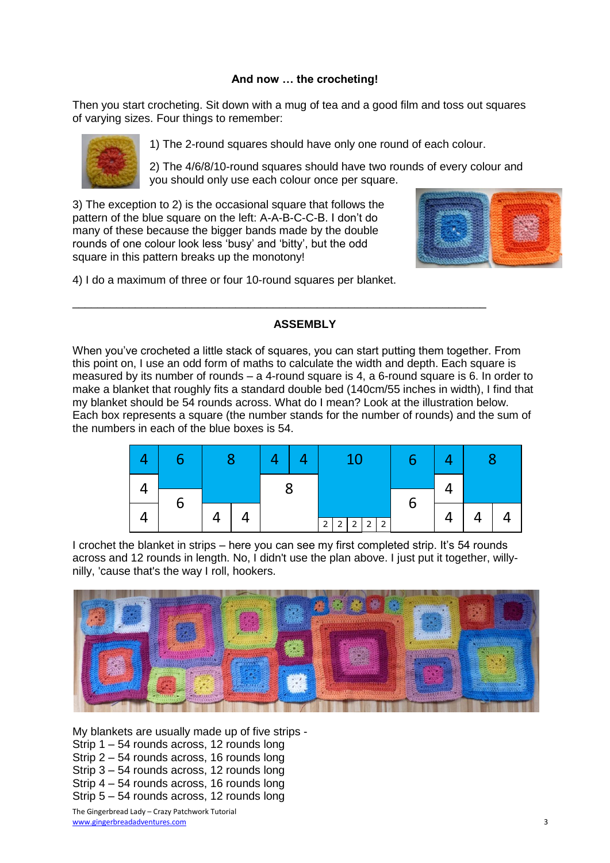#### **And now … the crocheting!**

Then you start crocheting. Sit down with a mug of tea and a good film and toss out squares of varying sizes. Four things to remember:



1) The 2-round squares should have only one round of each colour.

2) The 4/6/8/10-round squares should have two rounds of every colour and you should only use each colour once per square.

3) The exception to 2) is the occasional square that follows the pattern of the blue square on the left: A-A-B-C-C-B. I don"t do many of these because the bigger bands made by the double rounds of one colour look less "busy" and "bitty", but the odd square in this pattern breaks up the monotony!



4) I do a maximum of three or four 10-round squares per blanket.

#### **ASSEMBLY**

\_\_\_\_\_\_\_\_\_\_\_\_\_\_\_\_\_\_\_\_\_\_\_\_\_\_\_\_\_\_\_\_\_\_\_\_\_\_\_\_\_\_\_\_\_\_\_\_\_\_\_\_\_\_\_\_\_\_\_\_\_\_\_\_\_\_

When you"ve crocheted a little stack of squares, you can start putting them together. From this point on, I use an odd form of maths to calculate the width and depth. Each square is measured by its number of rounds  $-$  a 4-round square is 4, a 6-round square is 6. In order to make a blanket that roughly fits a standard double bed (140cm/55 inches in width), I find that my blanket should be 54 rounds across. What do I mean? Look at the illustration below. Each box represents a square (the number stands for the number of rounds) and the sum of the numbers in each of the blue boxes is 54.



I crochet the blanket in strips – here you can see my first completed strip. It's 54 rounds across and 12 rounds in length. No, I didn't use the plan above. I just put it together, willynilly, 'cause that's the way I roll, hookers.



My blankets are usually made up of five strips - Strip 1 – 54 rounds across, 12 rounds long Strip 2 – 54 rounds across, 16 rounds long Strip 3 – 54 rounds across, 12 rounds long Strip 4 – 54 rounds across, 16 rounds long Strip 5 – 54 rounds across, 12 rounds long

The Gingerbread Lady – Crazy Patchwork Tutorial www.gingerbreadadventures.com 3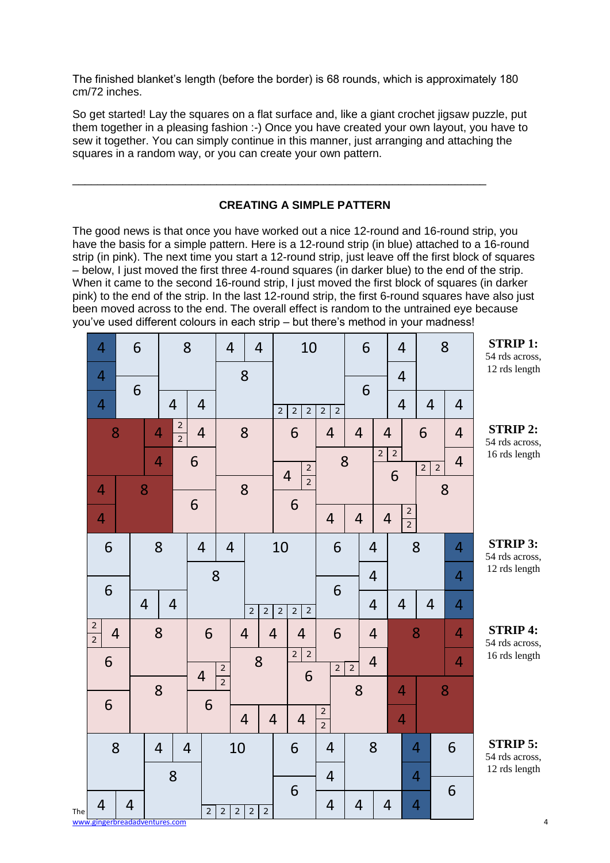The finished blanket"s length (before the border) is 68 rounds, which is approximately 180 cm/72 inches.

So get started! Lay the squares on a flat surface and, like a giant crochet jigsaw puzzle, put them together in a pleasing fashion :-) Once you have created your own layout, you have to sew it together. You can simply continue in this manner, just arranging and attaching the squares in a random way, or you can create your own pattern.

\_\_\_\_\_\_\_\_\_\_\_\_\_\_\_\_\_\_\_\_\_\_\_\_\_\_\_\_\_\_\_\_\_\_\_\_\_\_\_\_\_\_\_\_\_\_\_\_\_\_\_\_\_\_\_\_\_\_\_\_\_\_\_\_\_\_

## **CREATING A SIMPLE PATTERN**

The good news is that once you have worked out a nice 12-round and 16-round strip, you have the basis for a simple pattern. Here is a 12-round strip (in blue) attached to a 16-round strip (in pink). The next time you start a 12-round strip, just leave off the first block of squares – below, I just moved the first three 4-round squares (in darker blue) to the end of the strip. When it came to the second 16-round strip, I just moved the first block of squares (in darker pink) to the end of the strip. In the last 12-round strip, the first 6-round squares have also just been moved across to the end. The overall effect is random to the untrained eye because you"ve used different colours in each strip – but there"s method in your madness!

|     | 4                             |                | 6              |                | 8              |                | $\overline{4}$                   | $\overline{4}$                   | 10                                                 |                                  | 6              |                | $\overline{4}$ |                                | 8              | <b>STRIP 1:</b><br>54 rds across, |
|-----|-------------------------------|----------------|----------------|----------------|----------------|----------------|----------------------------------|----------------------------------|----------------------------------------------------|----------------------------------|----------------|----------------|----------------|--------------------------------|----------------|-----------------------------------|
|     | $\overline{4}$                |                | 6              |                |                |                |                                  | 8                                |                                                    |                                  | 6              |                | $\overline{4}$ |                                |                | 12 rds length                     |
|     | $\overline{4}$                |                |                | $\overline{4}$ | $\overline{4}$ |                |                                  |                                  | $\overline{2}$<br>$\overline{2}$<br>$\overline{2}$ | $\overline{2}$<br>$\overline{2}$ |                |                | $\overline{4}$ | $\overline{4}$                 | $\overline{4}$ |                                   |
|     |                               | 8              | 4              | $\frac{2}{2}$  | $\overline{4}$ |                |                                  | 8                                | 6                                                  | $\overline{4}$                   | $\overline{4}$ | $\overline{4}$ |                | 6                              | $\overline{4}$ | <b>STRIP 2:</b><br>54 rds across, |
|     |                               |                | $\overline{4}$ |                | 6              |                |                                  |                                  | $\frac{2}{2}$                                      |                                  | 8              | $\overline{2}$ | $\overline{2}$ | $\overline{2}$<br>$\mathsf{2}$ | $\overline{4}$ | 16 rds length                     |
|     | $\overline{4}$                |                | 8              |                |                |                |                                  | 8                                | $\overline{4}$                                     |                                  |                |                | 6              |                                | 8              |                                   |
|     | $\overline{4}$                |                |                |                | 6              |                |                                  |                                  | 6                                                  | $\overline{4}$                   | $\overline{4}$ | $\overline{4}$ | $\frac{2}{2}$  |                                |                |                                   |
|     | 6                             |                | 8              |                | $\overline{4}$ |                | $\overline{4}$                   |                                  | 10                                                 | 6                                |                | $\overline{4}$ |                | 8                              | $\overline{4}$ | <b>STRIP 3:</b><br>54 rds across, |
|     |                               |                |                |                |                | 8              |                                  |                                  |                                                    |                                  |                | $\overline{4}$ |                |                                | 4              | 12 rds length                     |
|     | 6                             |                | $\overline{4}$ | $\overline{4}$ |                |                |                                  | $\overline{2}$<br>$\overline{2}$ | $\overline{2}$<br>$\overline{2}$<br>$\overline{2}$ | 6                                |                | $\overline{4}$ | $\overline{4}$ | $\overline{4}$                 | $\overline{4}$ |                                   |
|     | $\frac{2}{2}$                 | $\overline{4}$ | 8              |                |                | 6              |                                  | $\overline{4}$                   | $\overline{4}$<br>$\overline{4}$                   | 6                                |                | $\overline{4}$ |                | 8                              | 4              | <b>STRIP 4:</b><br>54 rds across, |
|     | 6                             |                |                |                |                |                | $\sqrt{2}$                       | 8                                | $\overline{2}$<br>$\overline{2}$                   | $\mathsf{2}$                     | $\overline{2}$ | $\overline{4}$ |                |                                | $\overline{4}$ | 16 rds length                     |
|     |                               |                | 8              |                | $\overline{4}$ |                | $\overline{2}$                   |                                  | 6                                                  |                                  | 8              |                | $\overline{4}$ |                                | 8              |                                   |
|     | 6                             |                |                |                |                | 6              |                                  | $\overline{4}$                   | $\overline{4}$<br>$\overline{4}$                   | $\mathsf{2}$<br>$\overline{2}$   |                |                | $\overline{4}$ |                                |                |                                   |
|     |                               | 8              | $\overline{4}$ |                | $\overline{4}$ |                | 10                               |                                  | 6                                                  | $\overline{4}$                   |                | 8              |                | $\overline{4}$                 | 6              | <b>STRIP 5:</b><br>54 rds across, |
|     |                               |                | 8              |                |                |                |                                  |                                  |                                                    | 4                                |                |                | $\overline{4}$ |                                |                | 12 rds length                     |
| The | $\overline{4}$                | $\overline{4}$ |                |                |                | $\overline{2}$ | $\overline{2}$<br>$\overline{2}$ | $\overline{2}$<br>$\overline{2}$ | 6                                                  | 4                                | $\overline{4}$ | $\overline{4}$ |                | $\overline{4}$                 | 6              |                                   |
|     | www.gingerbreadadventures.com |                |                |                |                |                |                                  |                                  |                                                    |                                  |                |                |                |                                |                | 4                                 |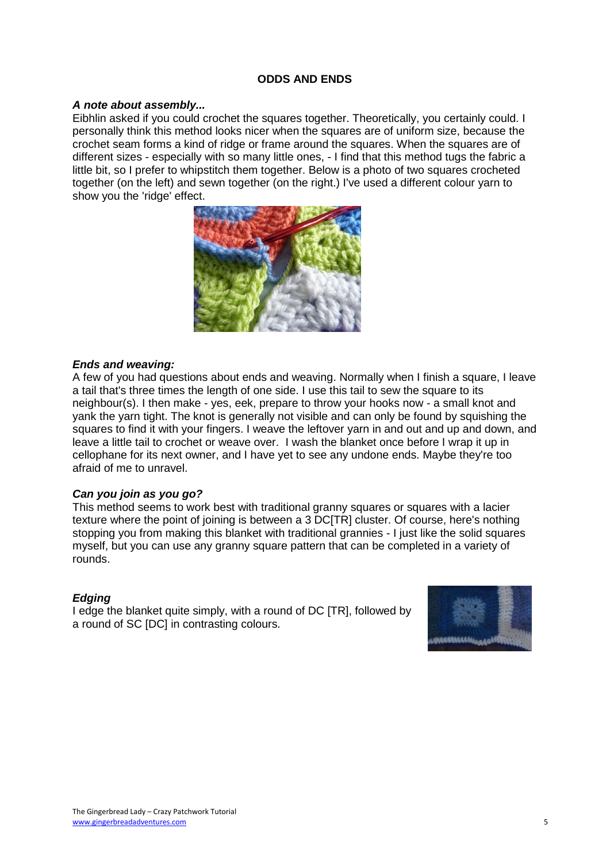#### **ODDS AND ENDS**

#### *A note about assembly...*

Eibhlin asked if you could crochet the squares together. Theoretically, you certainly could. I personally think this method looks nicer when the squares are of uniform size, because the crochet seam forms a kind of ridge or frame around the squares. When the squares are of different sizes - especially with so many little ones, - I find that this method tugs the fabric a little bit, so I prefer to whipstitch them together. Below is a photo of two squares crocheted together (on the left) and sewn together (on the right.) I've used a different colour yarn to show you the 'ridge' effect.



#### *Ends and weaving:*

A few of you had questions about ends and weaving. Normally when I finish a square, I leave a tail that's three times the length of one side. I use this tail to sew the square to its neighbour(s). I then make - yes, eek, prepare to throw your hooks now - a small knot and yank the yarn tight. The knot is generally not visible and can only be found by squishing the squares to find it with your fingers. I weave the leftover yarn in and out and up and down, and leave a little tail to crochet or weave over. I wash the blanket once before I wrap it up in cellophane for its next owner, and I have yet to see any undone ends. Maybe they're too afraid of me to unravel.

#### *Can you join as you go?*

This method seems to work best with traditional granny squares or squares with a lacier texture where the point of joining is between a 3 DC[TR] cluster. Of course, here's nothing stopping you from making this blanket with traditional grannies - I just like the solid squares myself, but you can use any granny square pattern that can be completed in a variety of rounds.

#### *Edging*

I edge the blanket quite simply, with a round of DC [TR], followed by a round of SC [DC] in contrasting colours.

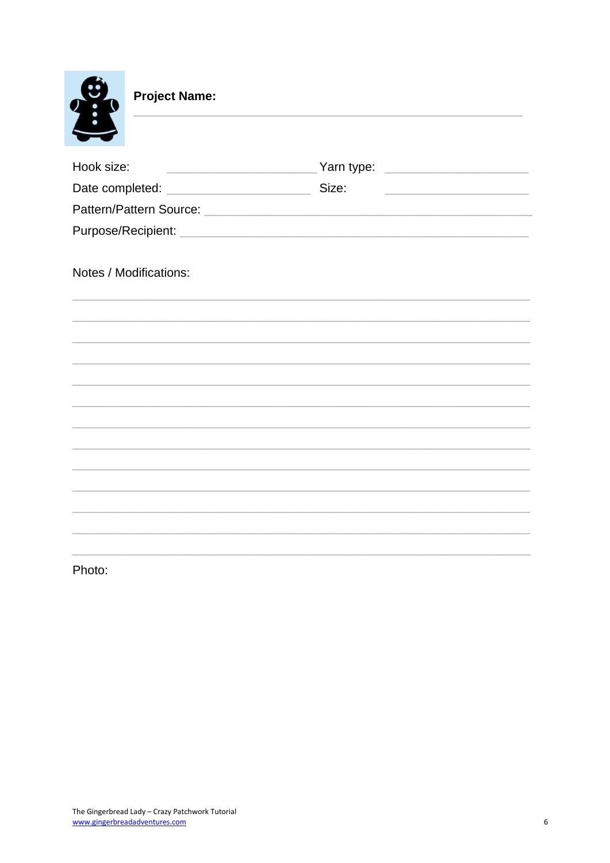

**Project Name:** 

| Hook size:             |                                         |
|------------------------|-----------------------------------------|
|                        | <u> 1990 - Johann Barbara, martin a</u> |
|                        |                                         |
|                        |                                         |
|                        |                                         |
| Notes / Modifications: |                                         |
|                        |                                         |
|                        |                                         |
|                        |                                         |
|                        |                                         |
|                        |                                         |
|                        |                                         |
|                        |                                         |
|                        |                                         |
|                        |                                         |
|                        |                                         |
|                        |                                         |
|                        |                                         |

Photo: